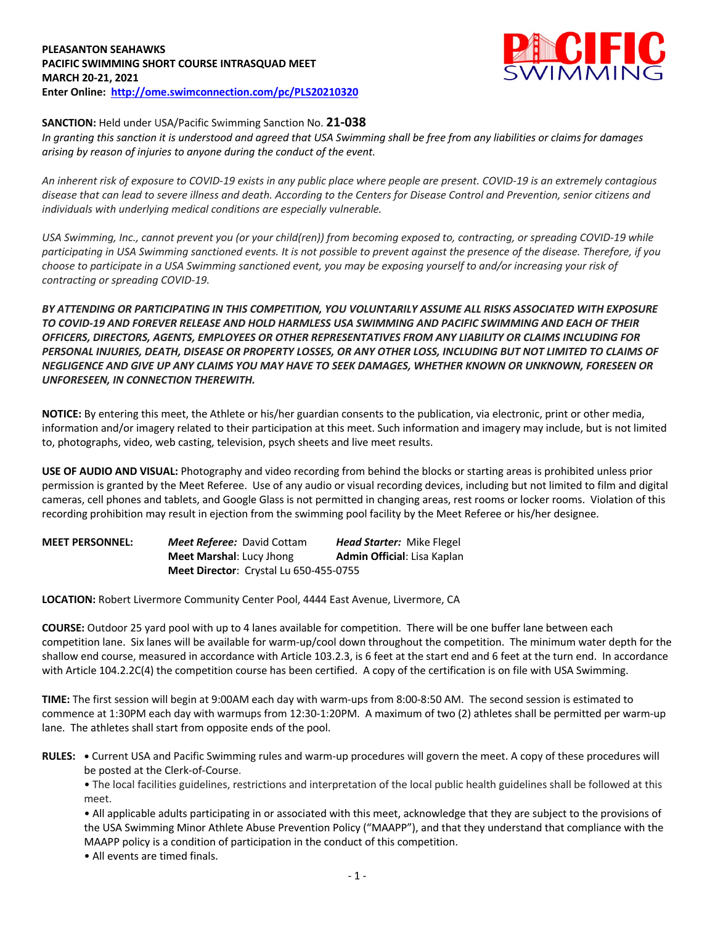## **PLEASANTON SEAHAWKS PACIFIC SWIMMING SHORT COURSE INTRASQUAD MEET MARCH 20-21, 2021 Enter Online: http://ome.swimconnection.com/pc/PLS20210320**



## **SANCTION:** Held under USA/Pacific Swimming Sanction No. **21-038**

*In granting this sanction it is understood and agreed that USA Swimming shall be free from any liabilities or claims for damages arising by reason of injuries to anyone during the conduct of the event.* 

*An inherent risk of exposure to COVID-19 exists in any public place where people are present. COVID-19 is an extremely contagious disease that can lead to severe illness and death. According to the Centers for Disease Control and Prevention, senior citizens and individuals with underlying medical conditions are especially vulnerable.*

*USA Swimming, Inc., cannot prevent you (or your child(ren)) from becoming exposed to, contracting, or spreading COVID-19 while participating in USA Swimming sanctioned events. It is not possible to prevent against the presence of the disease. Therefore, if you choose to participate in a USA Swimming sanctioned event, you may be exposing yourself to and/or increasing your risk of contracting or spreading COVID-19.*

*BY ATTENDING OR PARTICIPATING IN THIS COMPETITION, YOU VOLUNTARILY ASSUME ALL RISKS ASSOCIATED WITH EXPOSURE TO COVID-19 AND FOREVER RELEASE AND HOLD HARMLESS USA SWIMMING AND PACIFIC SWIMMING AND EACH OF THEIR OFFICERS, DIRECTORS, AGENTS, EMPLOYEES OR OTHER REPRESENTATIVES FROM ANY LIABILITY OR CLAIMS INCLUDING FOR PERSONAL INJURIES, DEATH, DISEASE OR PROPERTY LOSSES, OR ANY OTHER LOSS, INCLUDING BUT NOT LIMITED TO CLAIMS OF NEGLIGENCE AND GIVE UP ANY CLAIMS YOU MAY HAVE TO SEEK DAMAGES, WHETHER KNOWN OR UNKNOWN, FORESEEN OR UNFORESEEN, IN CONNECTION THEREWITH.*

**NOTICE:** By entering this meet, the Athlete or his/her guardian consents to the publication, via electronic, print or other media, information and/or imagery related to their participation at this meet. Such information and imagery may include, but is not limited to, photographs, video, web casting, television, psych sheets and live meet results.

**USE OF AUDIO AND VISUAL:** Photography and video recording from behind the blocks or starting areas is prohibited unless prior permission is granted by the Meet Referee. Use of any audio or visual recording devices, including but not limited to film and digital cameras, cell phones and tablets, and Google Glass is not permitted in changing areas, rest rooms or locker rooms. Violation of this recording prohibition may result in ejection from the swimming pool facility by the Meet Referee or his/her designee.

**MEET PERSONNEL:** *Meet Referee:* David Cottam *Head Starter:* Mike Flegel **Meet Marshal:** Lucy Jhong **Admin Official:** Lisa Kaplan **Meet Director**: Crystal Lu 650-455-0755

**LOCATION:** Robert Livermore Community Center Pool, 4444 East Avenue, Livermore, CA

**COURSE:** Outdoor 25 yard pool with up to 4 lanes available for competition.There will be one buffer lane between each competition lane. Six lanes will be available for warm-up/cool down throughout the competition. The minimum water depth for the shallow end course, measured in accordance with Article 103.2.3, is 6 feet at the start end and 6 feet at the turn end. In accordance with Article 104.2.2C(4) the competition course has been certified. A copy of the certification is on file with USA Swimming.

**TIME:** The first session will begin at 9:00AM each day with warm-ups from 8:00-8:50 AM. The second session is estimated to commence at 1:30PM each day with warmups from 12:30-1:20PM. A maximum of two (2) athletes shall be permitted per warm-up lane. The athletes shall start from opposite ends of the pool.

**RULES: •** Current USA and Pacific Swimming rules and warm-up procedures will govern the meet. A copy of these procedures will be posted at the Clerk-of-Course.

• The local facilities guidelines, restrictions and interpretation of the local public health guidelines shall be followed at this meet.

• All applicable adults participating in or associated with this meet, acknowledge that they are subject to the provisions of the USA Swimming Minor Athlete Abuse Prevention Policy ("MAAPP"), and that they understand that compliance with the MAAPP policy is a condition of participation in the conduct of this competition.

• All events are timed finals.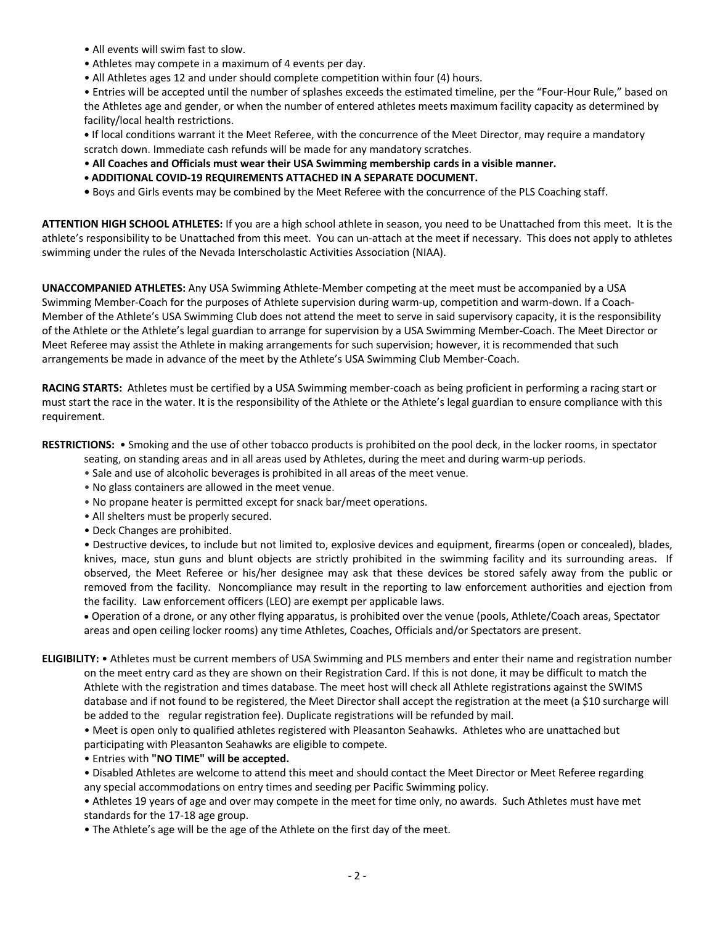- All events will swim fast to slow.
- Athletes may compete in a maximum of 4 events per day.
- All Athletes ages 12 and under should complete competition within four (4) hours.

• Entries will be accepted until the number of splashes exceeds the estimated timeline, per the "Four-Hour Rule," based on the Athletes age and gender, or when the number of entered athletes meets maximum facility capacity as determined by facility/local health restrictions.

**•** If local conditions warrant it the Meet Referee, with the concurrence of the Meet Director, may require a mandatory scratch down. Immediate cash refunds will be made for any mandatory scratches.

- **All Coaches and Officials must wear their USA Swimming membership cards in a visible manner.**
- **• ADDITIONAL COVID-19 REQUIREMENTS ATTACHED IN A SEPARATE DOCUMENT.**
- Boys and Girls events may be combined by the Meet Referee with the concurrence of the PLS Coaching staff.

**ATTENTION HIGH SCHOOL ATHLETES:** If you are a high school athlete in season, you need to be Unattached from this meet. It is the athlete's responsibility to be Unattached from this meet. You can un-attach at the meet if necessary. This does not apply to athletes swimming under the rules of the Nevada Interscholastic Activities Association (NIAA).

**UNACCOMPANIED ATHLETES:** Any USA Swimming Athlete-Member competing at the meet must be accompanied by a USA Swimming Member-Coach for the purposes of Athlete supervision during warm-up, competition and warm-down. If a Coach-Member of the Athlete's USA Swimming Club does not attend the meet to serve in said supervisory capacity, it is the responsibility of the Athlete or the Athlete's legal guardian to arrange for supervision by a USA Swimming Member-Coach. The Meet Director or Meet Referee may assist the Athlete in making arrangements for such supervision; however, it is recommended that such arrangements be made in advance of the meet by the Athlete's USA Swimming Club Member-Coach.

**RACING STARTS:** Athletes must be certified by a USA Swimming member-coach as being proficient in performing a racing start or must start the race in the water. It is the responsibility of the Athlete or the Athlete's legal guardian to ensure compliance with this requirement.

**RESTRICTIONS:** • Smoking and the use of other tobacco products is prohibited on the pool deck, in the locker rooms, in spectator

- seating, on standing areas and in all areas used by Athletes, during the meet and during warm-up periods.
- Sale and use of alcoholic beverages is prohibited in all areas of the meet venue.
- No glass containers are allowed in the meet venue.
- No propane heater is permitted except for snack bar/meet operations.
- All shelters must be properly secured.
- Deck Changes are prohibited.

• Destructive devices, to include but not limited to, explosive devices and equipment, firearms (open or concealed), blades, knives, mace, stun guns and blunt objects are strictly prohibited in the swimming facility and its surrounding areas. If observed, the Meet Referee or his/her designee may ask that these devices be stored safely away from the public or removed from the facility. Noncompliance may result in the reporting to law enforcement authorities and ejection from the facility. Law enforcement officers (LEO) are exempt per applicable laws.

• Operation of a drone, or any other flying apparatus, is prohibited over the venue (pools, Athlete/Coach areas, Spectator areas and open ceiling locker rooms) any time Athletes, Coaches, Officials and/or Spectators are present.

**ELIGIBILITY:** • Athletes must be current members of USA Swimming and PLS members and enter their name and registration number on the meet entry card as they are shown on their Registration Card. If this is not done, it may be difficult to match the Athlete with the registration and times database. The meet host will check all Athlete registrations against the SWIMS database and if not found to be registered, the Meet Director shall accept the registration at the meet (a \$10 surcharge will be added to the regular registration fee). Duplicate registrations will be refunded by mail.

• Meet is open only to qualified athletes registered with Pleasanton Seahawks. Athletes who are unattached but participating with Pleasanton Seahawks are eligible to compete.

• Entries with **"NO TIME" will be accepted.**

• Disabled Athletes are welcome to attend this meet and should contact the Meet Director or Meet Referee regarding any special accommodations on entry times and seeding per Pacific Swimming policy.

• Athletes 19 years of age and over may compete in the meet for time only, no awards. Such Athletes must have met standards for the 17-18 age group.

• The Athlete's age will be the age of the Athlete on the first day of the meet.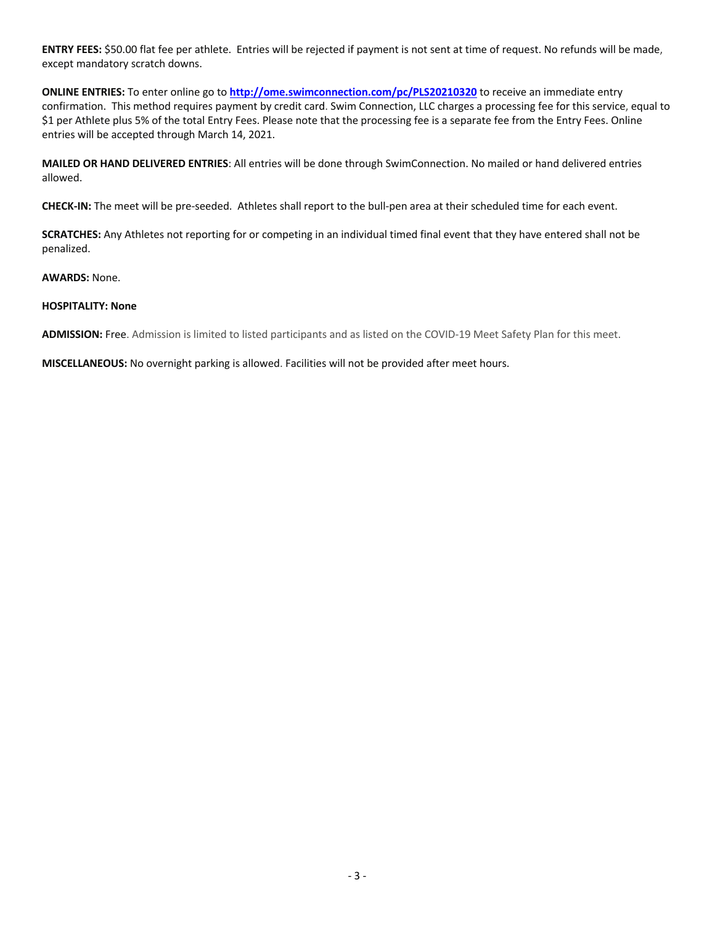**ENTRY FEES:** \$50.00 flat fee per athlete. Entries will be rejected if payment is not sent at time of request. No refunds will be made, except mandatory scratch downs.

**ONLINE ENTRIES:** To enter online go to **http://ome.swimconnection.com/pc/PLS20210320** to receive an immediate entry confirmation. This method requires payment by credit card. Swim Connection, LLC charges a processing fee for this service, equal to \$1 per Athlete plus 5% of the total Entry Fees. Please note that the processing fee is a separate fee from the Entry Fees. Online entries will be accepted through March 14, 2021.

**MAILED OR HAND DELIVERED ENTRIES**: All entries will be done through SwimConnection. No mailed or hand delivered entries allowed.

**CHECK-IN:** The meet will be pre-seeded. Athletes shall report to the bull-pen area at their scheduled time for each event.

**SCRATCHES:** Any Athletes not reporting for or competing in an individual timed final event that they have entered shall not be penalized.

**AWARDS:** None.

## **HOSPITALITY: None**

**ADMISSION:** Free. Admission is limited to listed participants and as listed on the COVID-19 Meet Safety Plan for this meet.

**MISCELLANEOUS:** No overnight parking is allowed. Facilities will not be provided after meet hours.